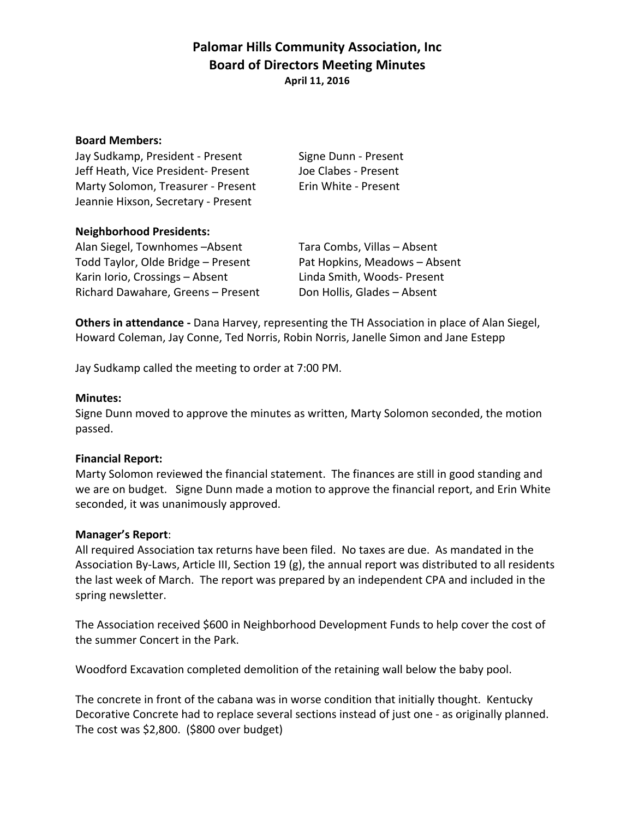# **Palomar Hills Community Association, Inc. Board of Directors Meeting Minutes April 11, 2016**

#### **Board Members:**

Jay Sudkamp, President - Present Signe Dunn - Present Jeff Heath, Vice President- Present Joe Clabes - Present Marty Solomon, Treasurer - Present Erin White - Present Jeannie Hixson, Secretary - Present

## **Neighborhood Presidents:**

Alan Siegel, Townhomes -Absent Tara Combs, Villas - Absent Todd Taylor, Olde Bridge – Present Pat Hopkins, Meadows – Absent Karin Iorio, Crossings - Absent Linda Smith, Woods- Present Richard Dawahare, Greens - Present Don Hollis, Glades - Absent

**Others in attendance** - Dana Harvey, representing the TH Association in place of Alan Siegel, Howard Coleman, Jay Conne, Ted Norris, Robin Norris, Janelle Simon and Jane Estepp

Jay Sudkamp called the meeting to order at 7:00 PM.

### **Minutes:**

Signe Dunn moved to approve the minutes as written, Marty Solomon seconded, the motion passed. 

## **Financial Report:**

Marty Solomon reviewed the financial statement. The finances are still in good standing and we are on budget. Signe Dunn made a motion to approve the financial report, and Erin White seconded, it was unanimously approved.

#### **Manager's Report**:

All required Association tax returns have been filed. No taxes are due. As mandated in the Association By-Laws, Article III, Section 19 (g), the annual report was distributed to all residents the last week of March. The report was prepared by an independent CPA and included in the spring newsletter.

The Association received \$600 in Neighborhood Development Funds to help cover the cost of the summer Concert in the Park.

Woodford Excavation completed demolition of the retaining wall below the baby pool.

The concrete in front of the cabana was in worse condition that initially thought. Kentucky Decorative Concrete had to replace several sections instead of just one - as originally planned. The cost was  $$2,800$ . ( $$800$  over budget)